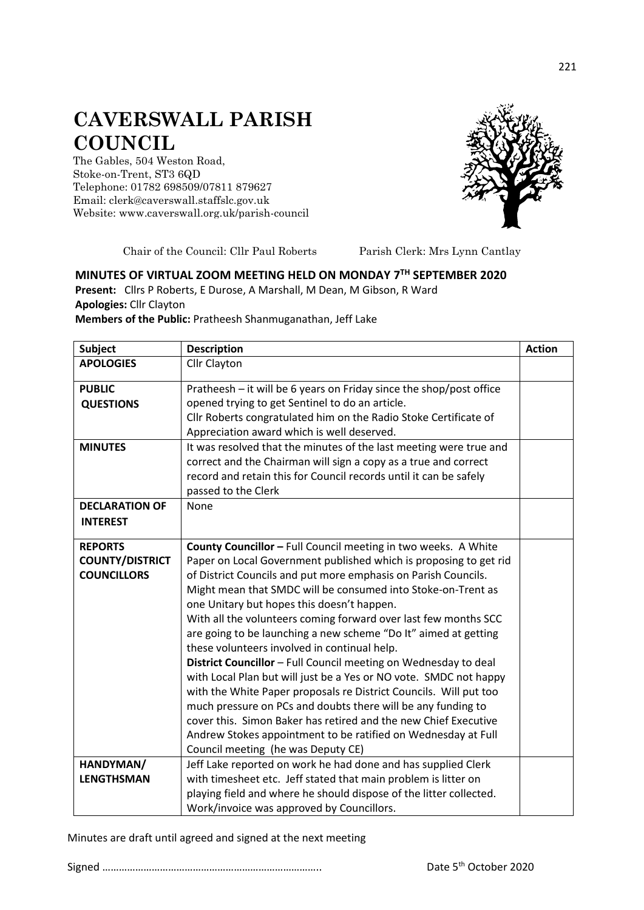## **CAVERSWALL PARISH COUNCIL**

The Gables, 504 Weston Road, Stoke-on-Trent, ST3 6QD Telephone: 01782 698509/07811 879627 Email: clerk@caverswall.staffslc.gov.uk Website: [www.c](http://www.dilhorneparishcouncil.co.uk/)averswall.org.uk/parish-council



Chair of the Council: Cllr Paul Roberts Parish Clerk: Mrs Lynn Cantlay

## **MINUTES OF VIRTUAL ZOOM MEETING HELD ON MONDAY 7 TH SEPTEMBER 2020**

**Present:** Cllrs P Roberts, E Durose, A Marshall, M Dean, M Gibson, R Ward **Apologies:** Cllr Clayton

**Members of the Public:** Pratheesh Shanmuganathan, Jeff Lake

| <b>Subject</b>                    | <b>Description</b>                                                                                                                                                                                                                | <b>Action</b> |
|-----------------------------------|-----------------------------------------------------------------------------------------------------------------------------------------------------------------------------------------------------------------------------------|---------------|
| <b>APOLOGIES</b>                  | <b>Cllr Clayton</b>                                                                                                                                                                                                               |               |
| <b>PUBLIC</b><br><b>QUESTIONS</b> | Pratheesh - it will be 6 years on Friday since the shop/post office<br>opened trying to get Sentinel to do an article.                                                                                                            |               |
|                                   | Cllr Roberts congratulated him on the Radio Stoke Certificate of<br>Appreciation award which is well deserved.                                                                                                                    |               |
| <b>MINUTES</b>                    | It was resolved that the minutes of the last meeting were true and<br>correct and the Chairman will sign a copy as a true and correct<br>record and retain this for Council records until it can be safely<br>passed to the Clerk |               |
| <b>DECLARATION OF</b>             | None                                                                                                                                                                                                                              |               |
| <b>INTEREST</b>                   |                                                                                                                                                                                                                                   |               |
| <b>REPORTS</b>                    | County Councillor - Full Council meeting in two weeks. A White                                                                                                                                                                    |               |
| <b>COUNTY/DISTRICT</b>            | Paper on Local Government published which is proposing to get rid                                                                                                                                                                 |               |
| <b>COUNCILLORS</b>                | of District Councils and put more emphasis on Parish Councils.                                                                                                                                                                    |               |
|                                   | Might mean that SMDC will be consumed into Stoke-on-Trent as                                                                                                                                                                      |               |
|                                   | one Unitary but hopes this doesn't happen.                                                                                                                                                                                        |               |
|                                   | With all the volunteers coming forward over last few months SCC                                                                                                                                                                   |               |
|                                   | are going to be launching a new scheme "Do It" aimed at getting                                                                                                                                                                   |               |
|                                   | these volunteers involved in continual help.                                                                                                                                                                                      |               |
|                                   | District Councillor - Full Council meeting on Wednesday to deal<br>with Local Plan but will just be a Yes or NO vote. SMDC not happy                                                                                              |               |
|                                   | with the White Paper proposals re District Councils. Will put too                                                                                                                                                                 |               |
|                                   | much pressure on PCs and doubts there will be any funding to                                                                                                                                                                      |               |
|                                   | cover this. Simon Baker has retired and the new Chief Executive                                                                                                                                                                   |               |
|                                   | Andrew Stokes appointment to be ratified on Wednesday at Full                                                                                                                                                                     |               |
|                                   | Council meeting (he was Deputy CE)                                                                                                                                                                                                |               |
| HANDYMAN/                         | Jeff Lake reported on work he had done and has supplied Clerk                                                                                                                                                                     |               |
| <b>LENGTHSMAN</b>                 | with timesheet etc. Jeff stated that main problem is litter on                                                                                                                                                                    |               |
|                                   | playing field and where he should dispose of the litter collected.                                                                                                                                                                |               |
|                                   | Work/invoice was approved by Councillors.                                                                                                                                                                                         |               |

Minutes are draft until agreed and signed at the next meeting

Signed …………………………………………………………………….. Date 5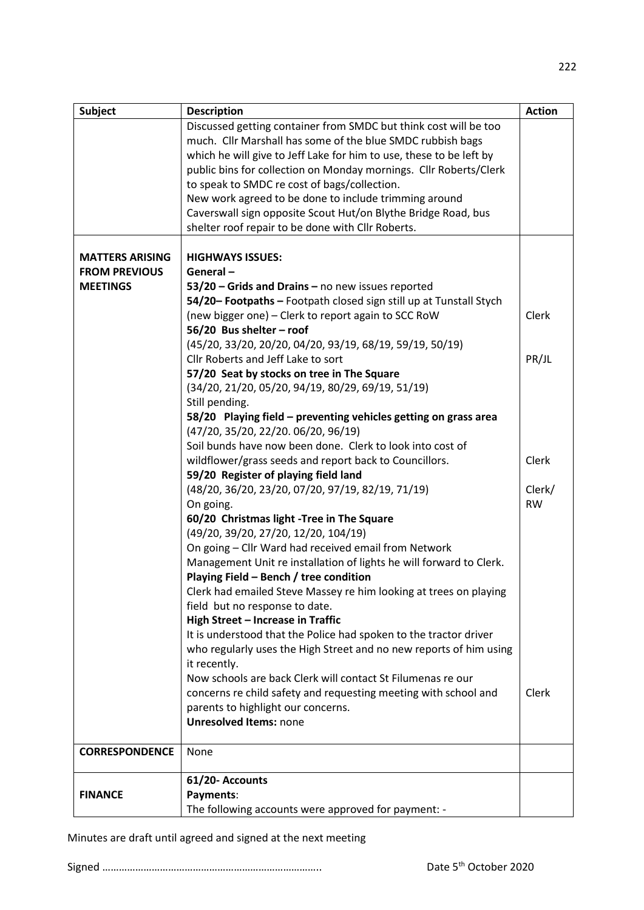| <b>Subject</b>         | <b>Description</b>                                                  | <b>Action</b> |
|------------------------|---------------------------------------------------------------------|---------------|
|                        | Discussed getting container from SMDC but think cost will be too    |               |
|                        | much. Cllr Marshall has some of the blue SMDC rubbish bags          |               |
|                        | which he will give to Jeff Lake for him to use, these to be left by |               |
|                        | public bins for collection on Monday mornings. Cllr Roberts/Clerk   |               |
|                        | to speak to SMDC re cost of bags/collection.                        |               |
|                        | New work agreed to be done to include trimming around               |               |
|                        | Caverswall sign opposite Scout Hut/on Blythe Bridge Road, bus       |               |
|                        |                                                                     |               |
|                        | shelter roof repair to be done with Cllr Roberts.                   |               |
|                        |                                                                     |               |
| <b>MATTERS ARISING</b> | <b>HIGHWAYS ISSUES:</b>                                             |               |
| <b>FROM PREVIOUS</b>   | General-                                                            |               |
| <b>MEETINGS</b>        | 53/20 - Grids and Drains - no new issues reported                   |               |
|                        | 54/20- Footpaths - Footpath closed sign still up at Tunstall Stych  |               |
|                        | (new bigger one) - Clerk to report again to SCC RoW                 | Clerk         |
|                        | 56/20 Bus shelter - roof                                            |               |
|                        | (45/20, 33/20, 20/20, 04/20, 93/19, 68/19, 59/19, 50/19)            |               |
|                        | Cllr Roberts and Jeff Lake to sort                                  | PR/JL         |
|                        | 57/20 Seat by stocks on tree in The Square                          |               |
|                        | (34/20, 21/20, 05/20, 94/19, 80/29, 69/19, 51/19)                   |               |
|                        | Still pending.                                                      |               |
|                        | 58/20 Playing field - preventing vehicles getting on grass area     |               |
|                        | (47/20, 35/20, 22/20. 06/20, 96/19)                                 |               |
|                        |                                                                     |               |
|                        | Soil bunds have now been done. Clerk to look into cost of           |               |
|                        | wildflower/grass seeds and report back to Councillors.              | Clerk         |
|                        | 59/20 Register of playing field land                                |               |
|                        | (48/20, 36/20, 23/20, 07/20, 97/19, 82/19, 71/19)                   | Clerk/        |
|                        | On going.                                                           | <b>RW</b>     |
|                        | 60/20 Christmas light -Tree in The Square                           |               |
|                        | (49/20, 39/20, 27/20, 12/20, 104/19)                                |               |
|                        | On going - Cllr Ward had received email from Network                |               |
|                        | Management Unit re installation of lights he will forward to Clerk. |               |
|                        | Playing Field - Bench / tree condition                              |               |
|                        | Clerk had emailed Steve Massey re him looking at trees on playing   |               |
|                        | field but no response to date.                                      |               |
|                        | High Street - Increase in Traffic                                   |               |
|                        | It is understood that the Police had spoken to the tractor driver   |               |
|                        | who regularly uses the High Street and no new reports of him using  |               |
|                        | it recently.                                                        |               |
|                        | Now schools are back Clerk will contact St Filumenas re our         |               |
|                        | concerns re child safety and requesting meeting with school and     | Clerk         |
|                        | parents to highlight our concerns.                                  |               |
|                        | <b>Unresolved Items: none</b>                                       |               |
|                        |                                                                     |               |
| <b>CORRESPONDENCE</b>  |                                                                     |               |
|                        | None                                                                |               |
|                        | 61/20- Accounts                                                     |               |
|                        |                                                                     |               |
| <b>FINANCE</b>         | Payments:                                                           |               |
|                        | The following accounts were approved for payment: -                 |               |

Minutes are draft until agreed and signed at the next meeting

Signed …………………………………………………………………….. Date 5